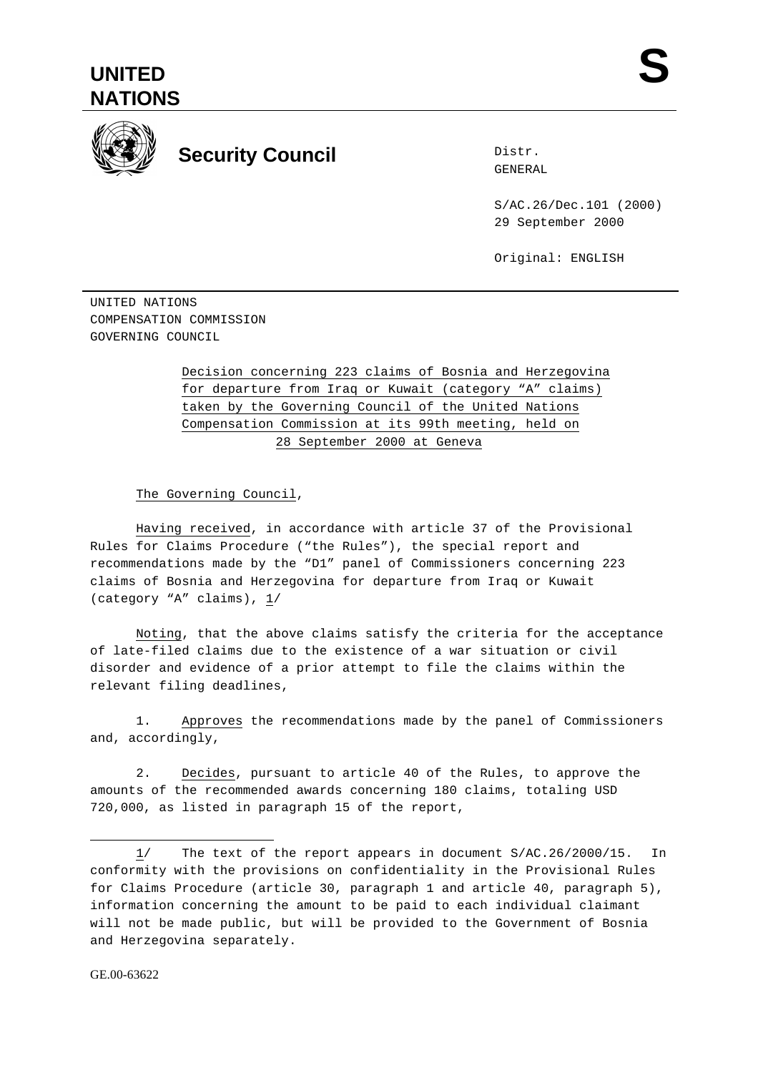



## **Security Council**

Distr. GENERAL

S/AC.26/Dec.101 (2000) 29 September 2000

Original: ENGLISH

UNITED NATIONS COMPENSATION COMMISSION GOVERNING COUNCIL

> Decision concerning 223 claims of Bosnia and Herzegovina for departure from Iraq or Kuwait (category "A" claims) taken by the Governing Council of the United Nations Compensation Commission at its 99th meeting, held on 28 September 2000 at Geneva

The Governing Council,

Having received, in accordance with article 37 of the Provisional Rules for Claims Procedure ("the Rules"), the special report and recommendations made by the "D1" panel of Commissioners concerning 223 claims of Bosnia and Herzegovina for departure from Iraq or Kuwait (category "A" claims),  $1/$ 

Noting, that the above claims satisfy the criteria for the acceptance of late-filed claims due to the existence of a war situation or civil disorder and evidence of a prior attempt to file the claims within the relevant filing deadlines,

1. Approves the recommendations made by the panel of Commissioners and, accordingly,

2. Decides, pursuant to article 40 of the Rules, to approve the amounts of the recommended awards concerning 180 claims, totaling USD 720,000, as listed in paragraph 15 of the report,

 $\overline{a}$ 

<sup>1/</sup> The text of the report appears in document S/AC.26/2000/15. In conformity with the provisions on confidentiality in the Provisional Rules for Claims Procedure (article 30, paragraph 1 and article 40, paragraph 5), information concerning the amount to be paid to each individual claimant will not be made public, but will be provided to the Government of Bosnia and Herzegovina separately.